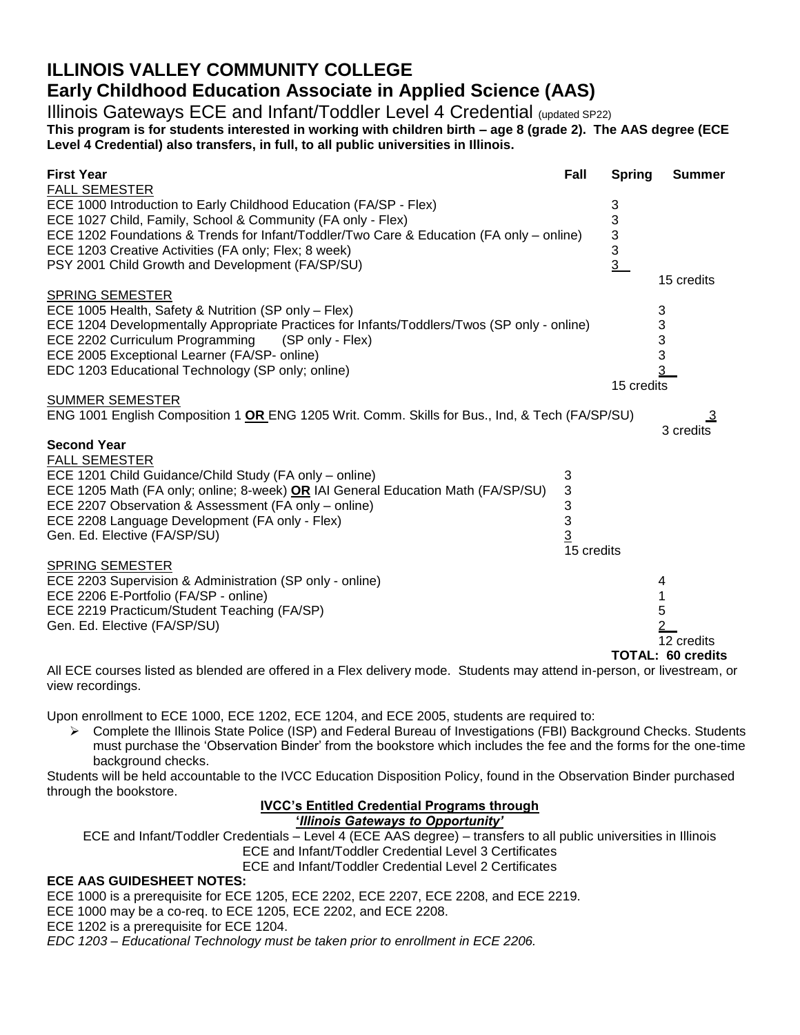# **ILLINOIS VALLEY COMMUNITY COLLEGE Early Childhood Education Associate in Applied Science (AAS)**

Illinois Gateways ECE and Infant/Toddler Level 4 Credential (updated SP22) **This program is for students interested in working with children birth – age 8 (grade 2). The AAS degree (ECE Level 4 Credential) also transfers, in full, to all public universities in Illinois.** 

| <b>First Year</b>                                                                                                                                                                                                                                                                                                                                                | Fall                                             | <b>Spring</b>                                        | <b>Summer</b>                   |
|------------------------------------------------------------------------------------------------------------------------------------------------------------------------------------------------------------------------------------------------------------------------------------------------------------------------------------------------------------------|--------------------------------------------------|------------------------------------------------------|---------------------------------|
| <b>FALL SEMESTER</b><br>ECE 1000 Introduction to Early Childhood Education (FA/SP - Flex)<br>ECE 1027 Child, Family, School & Community (FA only - Flex)<br>ECE 1202 Foundations & Trends for Infant/Toddler/Two Care & Education (FA only – online)<br>ECE 1203 Creative Activities (FA only; Flex; 8 week)<br>PSY 2001 Child Growth and Development (FA/SP/SU) |                                                  | 3<br>3<br>$\begin{array}{c} 3 \\ 3 \\ 3 \end{array}$ |                                 |
| <b>SPRING SEMESTER</b>                                                                                                                                                                                                                                                                                                                                           |                                                  |                                                      | 15 credits                      |
| ECE 1005 Health, Safety & Nutrition (SP only - Flex)<br>ECE 1204 Developmentally Appropriate Practices for Infants/Toddlers/Twos (SP only - online)<br>ECE 2202 Curriculum Programming<br>(SP only - Flex)<br>ECE 2005 Exceptional Learner (FA/SP- online)<br>EDC 1203 Educational Technology (SP only; online)                                                  |                                                  |                                                      | 3<br>3<br>3<br>3                |
|                                                                                                                                                                                                                                                                                                                                                                  |                                                  | 15 credits                                           |                                 |
| <b>SUMMER SEMESTER</b><br>ENG 1001 English Composition 1 OR ENG 1205 Writ. Comm. Skills for Bus., Ind, & Tech (FA/SP/SU)                                                                                                                                                                                                                                         |                                                  |                                                      | 3 credits                       |
| <b>Second Year</b>                                                                                                                                                                                                                                                                                                                                               |                                                  |                                                      |                                 |
| <b>FALL SEMESTER</b><br>ECE 1201 Child Guidance/Child Study (FA only – online)<br>ECE 1205 Math (FA only; online; 8-week) OR IAI General Education Math (FA/SP/SU)<br>ECE 2207 Observation & Assessment (FA only - online)<br>ECE 2208 Language Development (FA only - Flex)<br>Gen. Ed. Elective (FA/SP/SU)<br><b>SPRING SEMESTER</b>                           | 3<br>3<br>3<br>3<br>$\overline{3}$<br>15 credits |                                                      |                                 |
| ECE 2203 Supervision & Administration (SP only - online)                                                                                                                                                                                                                                                                                                         |                                                  |                                                      | 4                               |
| ECE 2206 E-Portfolio (FA/SP - online)<br>ECE 2219 Practicum/Student Teaching (FA/SP)<br>Gen. Ed. Elective (FA/SP/SU)                                                                                                                                                                                                                                             |                                                  |                                                      | 5                               |
|                                                                                                                                                                                                                                                                                                                                                                  |                                                  |                                                      | 12 credits<br>TOTAL: 60 credits |

All ECE courses listed as blended are offered in a Flex delivery mode. Students may attend in-person, or livestream, or view recordings.

Upon enrollment to ECE 1000, ECE 1202, ECE 1204, and ECE 2005, students are required to:

 Complete the Illinois State Police (ISP) and Federal Bureau of Investigations (FBI) Background Checks. Students must purchase the 'Observation Binder' from the bookstore which includes the fee and the forms for the one-time background checks.

Students will be held accountable to the IVCC Education Disposition Policy, found in the Observation Binder purchased through the bookstore.

#### **IVCC's Entitled Credential Programs through**

#### **'***Illinois Gateways to Opportunity'*

ECE and Infant/Toddler Credentials – Level 4 (ECE AAS degree) – transfers to all public universities in Illinois

ECE and Infant/Toddler Credential Level 3 Certificates

ECE and Infant/Toddler Credential Level 2 Certificates

#### **ECE AAS GUIDESHEET NOTES:**

ECE 1000 is a prerequisite for ECE 1205, ECE 2202, ECE 2207, ECE 2208, and ECE 2219.

ECE 1000 may be a co-req. to ECE 1205, ECE 2202, and ECE 2208.

ECE 1202 is a prerequisite for ECE 1204.

*EDC 1203 – Educational Technology must be taken prior to enrollment in ECE 2206.*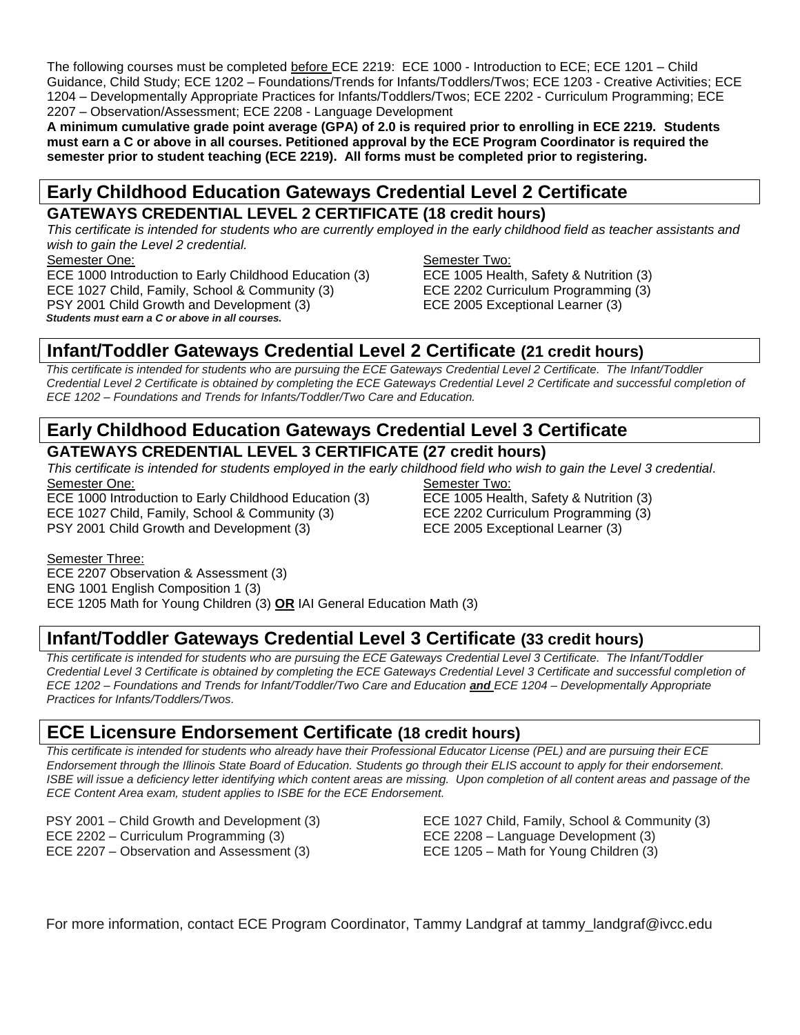The following courses must be completed before ECE 2219: ECE 1000 - Introduction to ECE; ECE 1201 – Child Guidance, Child Study; ECE 1202 – Foundations/Trends for Infants/Toddlers/Twos; ECE 1203 - Creative Activities; ECE 1204 – Developmentally Appropriate Practices for Infants/Toddlers/Twos; ECE 2202 - Curriculum Programming; ECE 2207 – Observation/Assessment; ECE 2208 - Language Development

**A minimum cumulative grade point average (GPA) of 2.0 is required prior to enrolling in ECE 2219. Students must earn a C or above in all courses. Petitioned approval by the ECE Program Coordinator is required the semester prior to student teaching (ECE 2219). All forms must be completed prior to registering.**

## **Early Childhood Education Gateways Credential Level 2 Certificate GATEWAYS CREDENTIAL LEVEL 2 CERTIFICATE (18 credit hours)**

*This certificate is intended for students who are currently employed in the early childhood field as teacher assistants and* 

*wish to gain the Level 2 credential.*

Semester One: Semester Two: Semester Two:

ECE 1000 Introduction to Early Childhood Education (3) ECE 1005 Health, Safety & Nutrition (3) ECE 1027 Child, Family, School & Community (3) ECE 2202 Curriculum Programming (3) PSY 2001 Child Growth and Development (3) ECE 2005 Exceptional Learner (3) *Students must earn a C or above in all courses.*

# **Infant/Toddler Gateways Credential Level 2 Certificate (21 credit hours)**

*This certificate is intended for students who are pursuing the ECE Gateways Credential Level 2 Certificate. The Infant/Toddler*  Credential Level 2 Certificate is obtained by completing the ECE Gateways Credential Level 2 Certificate and successful completion of *ECE 1202 – Foundations and Trends for Infants/Toddler/Two Care and Education.* 

## **Early Childhood Education Gateways Credential Level 3 Certificate GATEWAYS CREDENTIAL LEVEL 3 CERTIFICATE (27 credit hours)**

*This certificate is intended for students employed in the early childhood field who wish to gain the Level 3 credential.*

Semester One: Semester Two: ECE 1000 Introduction to Early Childhood Education (3) ECE 1005 Health, Safety & Nutrition (3) ECE 1027 Child, Family, School & Community (3) ECE 2202 Curriculum Programming (3) PSY 2001 Child Growth and Development (3) ECE 2005 Exceptional Learner (3)

Semester Three:

ECE 2207 Observation & Assessment (3) ENG 1001 English Composition 1 (3) ECE 1205 Math for Young Children (3) **OR** IAI General Education Math (3)

## **Infant/Toddler Gateways Credential Level 3 Certificate (33 credit hours)**

*This certificate is intended for students who are pursuing the ECE Gateways Credential Level 3 Certificate. The Infant/Toddler Credential Level 3 Certificate is obtained by completing the ECE Gateways Credential Level 3 Certificate and successful completion of ECE 1202 – Foundations and Trends for Infant/Toddler/Two Care and Education and <i>ECE 1204 – Developmentally Appropriate Practices for Infants/Toddlers/Twos.*

# **ECE Licensure Endorsement Certificate (18 credit hours)**

*This certificate is intended for students who already have their Professional Educator License (PEL) and are pursuing their ECE Endorsement through the Illinois State Board of Education. Students go through their ELIS account to apply for their endorsement. ISBE will issue a deficiency letter identifying which content areas are missing. Upon completion of all content areas and passage of the ECE Content Area exam, student applies to ISBE for the ECE Endorsement.*

ECE 2202 – Curriculum Programming (3) ECE 2208 – Language Development (3) ECE 2207 – Observation and Assessment (3) ECE 1205 – Math for Young Children (3)

PSY 2001 – Child Growth and Development (3) ECE 1027 Child, Family, School & Community (3)

For more information, contact ECE Program Coordinator, Tammy Landgraf at tammy\_landgraf@ivcc.edu